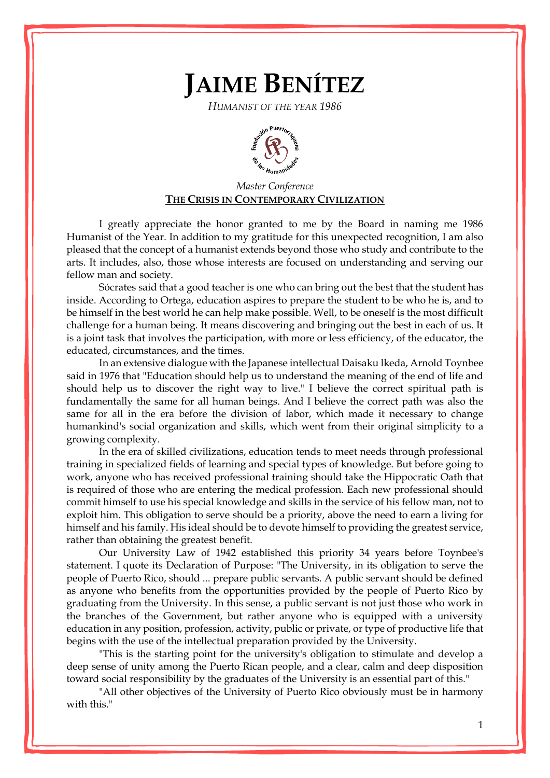## **JAIME BENÍTEZ**

*HUMANIST OF THE YEAR 1986*



## *Master Conference* **THE CRISIS IN CONTEMPORARY CIVILIZATION**

I greatly appreciate the honor granted to me by the Board in naming me 1986 Humanist of the Year. In addition to my gratitude for this unexpected recognition, I am also pleased that the concept of a humanist extends beyond those who study and contribute to the arts. It includes, also, those whose interests are focused on understanding and serving our fellow man and society.

Sócrates said that a good teacher is one who can bring out the best that the student has inside. According to Ortega, education aspires to prepare the student to be who he is, and to be himself in the best world he can help make possible. Well, to be oneself is the most difficult challenge for a human being. It means discovering and bringing out the best in each of us. It is a joint task that involves the participation, with more or less efficiency, of the educator, the educated, circumstances, and the times.

In an extensive dialogue with the Japanese intellectual Daisaku lkeda, Arnold Toynbee said in 1976 that "Education should help us to understand the meaning of the end of life and should help us to discover the right way to live." I believe the correct spiritual path is fundamentally the same for all human beings. And I believe the correct path was also the same for all in the era before the division of labor, which made it necessary to change humankind's social organization and skills, which went from their original simplicity to a growing complexity.

In the era of skilled civilizations, education tends to meet needs through professional training in specialized fields of learning and special types of knowledge. But before going to work, anyone who has received professional training should take the Hippocratic Oath that is required of those who are entering the medical profession. Each new professional should commit himself to use his special knowledge and skills in the service of his fellow man, not to exploit him. This obligation to serve should be a priority, above the need to earn a living for himself and his family. His ideal should be to devote himself to providing the greatest service, rather than obtaining the greatest benefit.

Our University Law of 1942 established this priority 34 years before Toynbee's statement. I quote its Declaration of Purpose: "The University, in its obligation to serve the people of Puerto Rico, should ... prepare public servants. A public servant should be defined as anyone who benefits from the opportunities provided by the people of Puerto Rico by graduating from the University. In this sense, a public servant is not just those who work in the branches of the Government, but rather anyone who is equipped with a university education in any position, profession, activity, public or private, or type of productive life that begins with the use of the intellectual preparation provided by the University.

"This is the starting point for the university's obligation to stimulate and develop a deep sense of unity among the Puerto Rican people, and a clear, calm and deep disposition toward social responsibility by the graduates of the University is an essential part of this."

"All other objectives of the University of Puerto Rico obviously must be in harmony with this."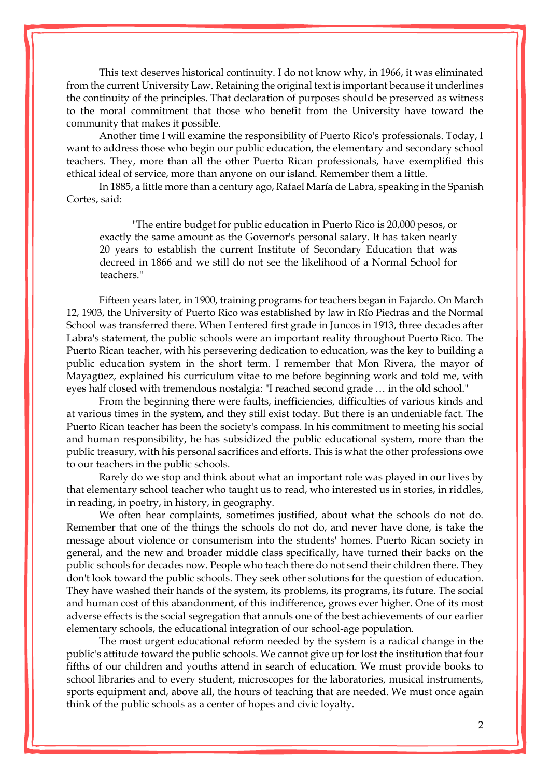This text deserves historical continuity. I do not know why, in 1966, it was eliminated from the current University Law. Retaining the original text is important because it underlines the continuity of the principles. That declaration of purposes should be preserved as witness to the moral commitment that those who benefit from the University have toward the community that makes it possible.

Another time I will examine the responsibility of Puerto Rico's professionals. Today, I want to address those who begin our public education, the elementary and secondary school teachers. They, more than all the other Puerto Rican professionals, have exemplified this ethical ideal of service, more than anyone on our island. Remember them a little.

In 1885, a little more than a century ago, Rafael María de Labra, speaking in the Spanish Cortes, said:

"The entire budget for public education in Puerto Rico is 20,000 pesos, or exactly the same amount as the Governor's personal salary. It has taken nearly 20 years to establish the current Institute of Secondary Education that was decreed in 1866 and we still do not see the likelihood of a Normal School for teachers."

Fifteen years later, in 1900, training programs for teachers began in Fajardo. On March 12, 1903, the University of Puerto Rico was established by law in Río Piedras and the Normal School was transferred there. When I entered first grade in Juncos in 1913, three decades after Labra's statement, the public schools were an important reality throughout Puerto Rico. The Puerto Rican teacher, with his persevering dedication to education, was the key to building a public education system in the short term. I remember that Mon Rivera, the mayor of [Mayagüez,](http://enciclopediapr.org/ing/article.cfm?ref=08021702) explained his curriculum vitae to me before beginning work and told me, with eyes half closed with tremendous nostalgia: "I reached second grade … in the old school."

From the beginning there were faults, inefficiencies, difficulties of various kinds and at various times in the system, and they still exist today. But there is an undeniable fact. The Puerto Rican teacher has been the society's compass. In his commitment to meeting his social and human responsibility, he has subsidized the public educational system, more than the public treasury, with his personal sacrifices and efforts. This is what the other professions owe to our teachers in the public schools.

Rarely do we stop and think about what an important role was played in our lives by that elementary school teacher who taught us to read, who interested us in stories, in riddles, in reading, in poetry, in history, in geography.

We often hear complaints, sometimes justified, about what the schools do not do. Remember that one of the things the schools do not do, and never have done, is take the message about violence or consumerism into the students' homes. Puerto Rican society in general, and the new and broader middle class specifically, have turned their backs on the public schools for decades now. People who teach there do not send their children there. They don't look toward the public schools. They seek other solutions for the question of education. They have washed their hands of the system, its problems, its programs, its future. The social and human cost of this abandonment, of this indifference, grows ever higher. One of its most adverse effects is the social segregation that annuls one of the best achievements of our earlier elementary schools, the educational integration of our school-age population.

The most urgent educational reform needed by the system is a radical change in the public's attitude toward the public schools. We cannot give up for lost the institution that four fifths of our children and youths attend in search of education. We must provide books to school libraries and to every student, microscopes for the laboratories, musical instruments, sports equipment and, above all, the hours of teaching that are needed. We must once again think of the public schools as a center of hopes and civic loyalty.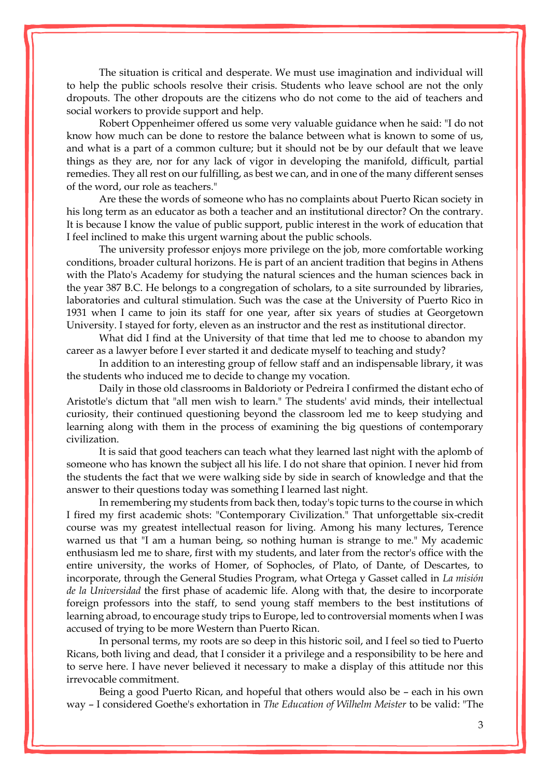The situation is critical and desperate. We must use imagination and individual will to help the public schools resolve their crisis. Students who leave school are not the only dropouts. The other dropouts are the citizens who do not come to the aid of teachers and social workers to provide support and help.

Robert Oppenheimer offered us some very valuable guidance when he said: "I do not know how much can be done to restore the balance between what is known to some of us, and what is a part of a common culture; but it should not be by our default that we leave things as they are, nor for any lack of vigor in developing the manifold, difficult, partial remedies. They all rest on our fulfilling, as best we can, and in one of the many different senses of the word, our role as teachers."

Are these the words of someone who has no complaints about Puerto Rican society in his long term as an educator as both a teacher and an institutional director? On the contrary. It is because I know the value of public support, public interest in the work of education that I feel inclined to make this urgent warning about the public schools.

The university professor enjoys more privilege on the job, more comfortable working conditions, broader cultural horizons. He is part of an ancient tradition that begins in Athens with the Plato's Academy for studying the natural sciences and the human sciences back in the year 387 B.C. He belongs to a congregation of scholars, to a site surrounded by libraries, laboratories and cultural stimulation. Such was the case at the University of Puerto Rico in 1931 when I came to join its staff for one year, after six years of studies at Georgetown University. I stayed for forty, eleven as an instructor and the rest as institutional director.

What did I find at the University of that time that led me to choose to abandon my career as a lawyer before I ever started it and dedicate myself to teaching and study?

In addition to an interesting group of fellow staff and an indispensable library, it was the students who induced me to decide to change my vocation.

Daily in those old classrooms in Baldorioty or Pedreira I confirmed the distant echo of Aristotle's dictum that "all men wish to learn." The students' avid minds, their intellectual curiosity, their continued questioning beyond the classroom led me to keep studying and learning along with them in the process of examining the big questions of contemporary civilization.

It is said that good teachers can teach what they learned last night with the aplomb of someone who has known the subject all his life. I do not share that opinion. I never hid from the students the fact that we were walking side by side in search of knowledge and that the answer to their questions today was something I learned last night.

In remembering my students from back then, today's topic turns to the course in which I fired my first academic shots: "Contemporary Civilization." That unforgettable six-credit course was my greatest intellectual reason for living. Among his many lectures, Terence warned us that "I am a human being, so nothing human is strange to me." My academic enthusiasm led me to share, first with my students, and later from the rector's office with the entire university, the works of Homer, of Sophocles, of Plato, of Dante, of Descartes, to incorporate, through the General Studies Program, what Ortega y Gasset called in *La misión de la Universidad* the first phase of academic life. Along with that, the desire to incorporate foreign professors into the staff, to send young staff members to the best institutions of learning abroad, to encourage study trips to Europe, led to controversial moments when I was accused of trying to be more Western than Puerto Rican.

In personal terms, my roots are so deep in this historic soil, and I feel so tied to Puerto Ricans, both living and dead, that I consider it a privilege and a responsibility to be here and to serve here. I have never believed it necessary to make a display of this attitude nor this irrevocable commitment.

Being a good Puerto Rican, and hopeful that others would also be – each in his own way – I considered Goethe's exhortation in *The Education of Wilhelm Meister* to be valid: "The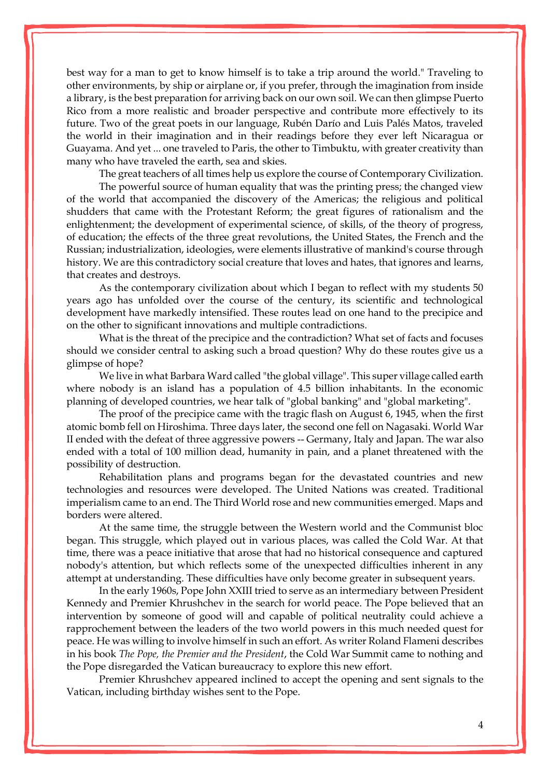best way for a man to get to know himself is to take a trip around the world." Traveling to other environments, by ship or airplane or, if you prefer, through the imagination from inside a library, is the best preparation for arriving back on our own soil. We can then glimpse Puerto Rico from a more realistic and broader perspective and contribute more effectively to its future. Two of the great poets in our language, Rubén Darío and Luis Palés Matos, traveled the world in their imagination and in their readings before they ever left Nicaragua or Guayama. And yet ... one traveled to Paris, the other to Timbuktu, with greater creativity than many who have traveled the earth, sea and skies.

The great teachers of all times help us explore the course of Contemporary Civilization.

The powerful source of human equality that was the printing press; the changed view of the world that accompanied the discovery of the Americas; the religious and political shudders that came with the Protestant Reform; the great figures of rationalism and the enlightenment; the development of experimental science, of skills, of the theory of progress, of education; the effects of the three great revolutions, the United States, the French and the Russian; industrialization, ideologies, were elements illustrative of mankind's course through history. We are this contradictory social creature that loves and hates, that ignores and learns, that creates and destroys.

As the contemporary civilization about which I began to reflect with my students 50 years ago has unfolded over the course of the century, its scientific and technological development have markedly intensified. These routes lead on one hand to the precipice and on the other to significant innovations and multiple contradictions.

What is the threat of the precipice and the contradiction? What set of facts and focuses should we consider central to asking such a broad question? Why do these routes give us a glimpse of hope?

We live in what Barbara Ward called "the global village". This super village called earth where nobody is an island has a population of 4.5 billion inhabitants. In the economic planning of developed countries, we hear talk of "global banking" and "global marketing".

The proof of the precipice came with the tragic flash on August 6, 1945, when the first atomic bomb fell on Hiroshima. Three days later, the second one fell on Nagasaki. World War II ended with the defeat of three aggressive powers -- Germany, Italy and Japan. The war also ended with a total of 100 million dead, humanity in pain, and a planet threatened with the possibility of destruction.

Rehabilitation plans and programs began for the devastated countries and new technologies and resources were developed. The United Nations was created. Traditional imperialism came to an end. The Third World rose and new communities emerged. Maps and borders were altered.

At the same time, the struggle between the Western world and the Communist bloc began. This struggle, which played out in various places, was called the Cold War. At that time, there was a peace initiative that arose that had no historical consequence and captured nobody's attention, but which reflects some of the unexpected difficulties inherent in any attempt at understanding. These difficulties have only become greater in subsequent years.

In the early 1960s, Pope John XXIII tried to serve as an intermediary between President Kennedy and Premier Khrushchev in the search for world peace. The Pope believed that an intervention by someone of good will and capable of political neutrality could achieve a rapprochement between the leaders of the two world powers in this much needed quest for peace. He was willing to involve himself in such an effort. As writer Roland Flameni describes in his book *The Pope, the Premier and the President*, the Cold War Summit came to nothing and the Pope disregarded the Vatican bureaucracy to explore this new effort.

Premier Khrushchev appeared inclined to accept the opening and sent signals to the Vatican, including birthday wishes sent to the Pope.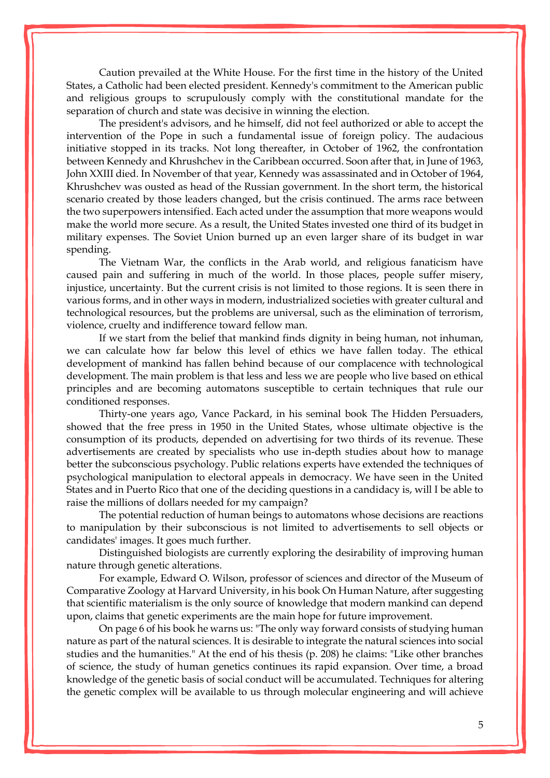Caution prevailed at the White House. For the first time in the history of the United States, a Catholic had been elected president. Kennedy's commitment to the American public and religious groups to scrupulously comply with the constitutional mandate for the separation of church and state was decisive in winning the election.

The president's advisors, and he himself, did not feel authorized or able to accept the intervention of the Pope in such a fundamental issue of foreign policy. The audacious initiative stopped in its tracks. Not long thereafter, in October of 1962, the confrontation between Kennedy and Khrushchev in the Caribbean occurred. Soon after that, in June of 1963, John XXIII died. In November of that year, Kennedy was assassinated and in October of 1964, Khrushchev was ousted as head of the Russian government. In the short term, the historical scenario created by those leaders changed, but the crisis continued. The arms race between the two superpowers intensified. Each acted under the assumption that more weapons would make the world more secure. As a result, the United States invested one third of its budget in military expenses. The Soviet Union burned up an even larger share of its budget in war spending.

The Vietnam War, the conflicts in the Arab world, and religious fanaticism have caused pain and suffering in much of the world. In those places, people suffer misery, injustice, uncertainty. But the current crisis is not limited to those regions. It is seen there in various forms, and in other ways in modern, industrialized societies with greater cultural and technological resources, but the problems are universal, such as the elimination of terrorism, violence, cruelty and indifference toward fellow man.

If we start from the belief that mankind finds dignity in being human, not inhuman, we can calculate how far below this level of ethics we have fallen today. The ethical development of mankind has fallen behind because of our complacence with technological development. The main problem is that less and less we are people who live based on ethical principles and are becoming automatons susceptible to certain techniques that rule our conditioned responses.

Thirty-one years ago, Vance Packard, in his seminal book The Hidden Persuaders, showed that the free press in 1950 in the United States, whose ultimate objective is the consumption of its products, depended on advertising for two thirds of its revenue. These advertisements are created by specialists who use in-depth studies about how to manage better the subconscious psychology. Public relations experts have extended the techniques of psychological manipulation to electoral appeals in democracy. We have seen in the United States and in Puerto Rico that one of the deciding questions in a candidacy is, will I be able to raise the millions of dollars needed for my campaign?

The potential reduction of human beings to automatons whose decisions are reactions to manipulation by their subconscious is not limited to advertisements to sell objects or candidates' images. It goes much further.

Distinguished biologists are currently exploring the desirability of improving human nature through genetic alterations.

For example, Edward O. Wilson, professor of sciences and director of the Museum of Comparative Zoology at Harvard University, in his book On Human Nature, after suggesting that scientific materialism is the only source of knowledge that modern mankind can depend upon, claims that genetic experiments are the main hope for future improvement.

On page 6 of his book he warns us: "The only way forward consists of studying human nature as part of the natural sciences. It is desirable to integrate the natural sciences into social studies and the humanities." At the end of his thesis (p. 208) he claims: "Like other branches of science, the study of human genetics continues its rapid expansion. Over time, a broad knowledge of the genetic basis of social conduct will be accumulated. Techniques for altering the genetic complex will be available to us through molecular engineering and will achieve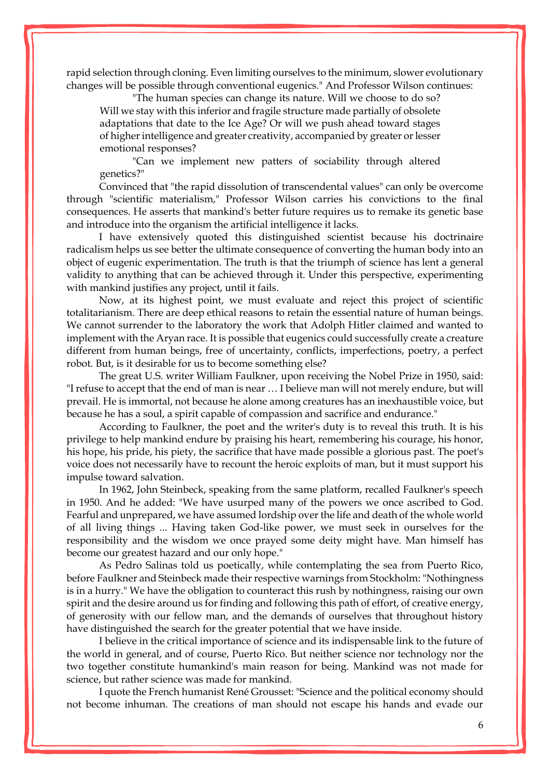rapid selection through cloning. Even limiting ourselves to the minimum, slower evolutionary changes will be possible through conventional eugenics." And Professor Wilson continues:

"The human species can change its nature. Will we choose to do so? Will we stay with this inferior and fragile structure made partially of obsolete adaptations that date to the Ice Age? Or will we push ahead toward stages of higher intelligence and greater creativity, accompanied by greater or lesser emotional responses?

"Can we implement new patters of sociability through altered genetics?"

Convinced that "the rapid dissolution of transcendental values" can only be overcome through "scientific materialism," Professor Wilson carries his convictions to the final consequences. He asserts that mankind's better future requires us to remake its genetic base and introduce into the organism the artificial intelligence it lacks.

I have extensively quoted this distinguished scientist because his doctrinaire radicalism helps us see better the ultimate consequence of converting the human body into an object of eugenic experimentation. The truth is that the triumph of science has lent a general validity to anything that can be achieved through it. Under this perspective, experimenting with mankind justifies any project, until it fails.

Now, at its highest point, we must evaluate and reject this project of scientific totalitarianism. There are deep ethical reasons to retain the essential nature of human beings. We cannot surrender to the laboratory the work that Adolph Hitler claimed and wanted to implement with the Aryan race. It is possible that eugenics could successfully create a creature different from human beings, free of uncertainty, conflicts, imperfections, poetry, a perfect robot. But, is it desirable for us to become something else?

The great U.S. writer William Faulkner, upon receiving the Nobel Prize in 1950, said: "I refuse to accept that the end of man is near … I believe man will not merely endure, but will prevail. He is immortal, not because he alone among creatures has an inexhaustible voice, but because he has a soul, a spirit capable of compassion and sacrifice and endurance."

According to Faulkner, the poet and the writer's duty is to reveal this truth. It is his privilege to help mankind endure by praising his heart, remembering his courage, his honor, his hope, his pride, his piety, the sacrifice that have made possible a glorious past. The poet's voice does not necessarily have to recount the heroic exploits of man, but it must support his impulse toward salvation.

In 1962, John Steinbeck, speaking from the same platform, recalled Faulkner's speech in 1950. And he added: "We have usurped many of the powers we once ascribed to God. Fearful and unprepared, we have assumed lordship over the life and death of the whole world of all living things ... Having taken God-like power, we must seek in ourselves for the responsibility and the wisdom we once prayed some deity might have. Man himself has become our greatest hazard and our only hope."

As Pedro Salinas told us poetically, while contemplating the sea from Puerto Rico, before Faulkner and Steinbeck made their respective warnings from Stockholm: "Nothingness is in a hurry." We have the obligation to counteract this rush by nothingness, raising our own spirit and the desire around us for finding and following this path of effort, of creative energy, of generosity with our fellow man, and the demands of ourselves that throughout history have distinguished the search for the greater potential that we have inside.

I believe in the critical importance of science and its indispensable link to the future of the world in general, and of course, Puerto Rico. But neither science nor technology nor the two together constitute humankind's main reason for being. Mankind was not made for science, but rather science was made for mankind.

I quote the French humanist René Grousset: "Science and the political economy should not become inhuman. The creations of man should not escape his hands and evade our